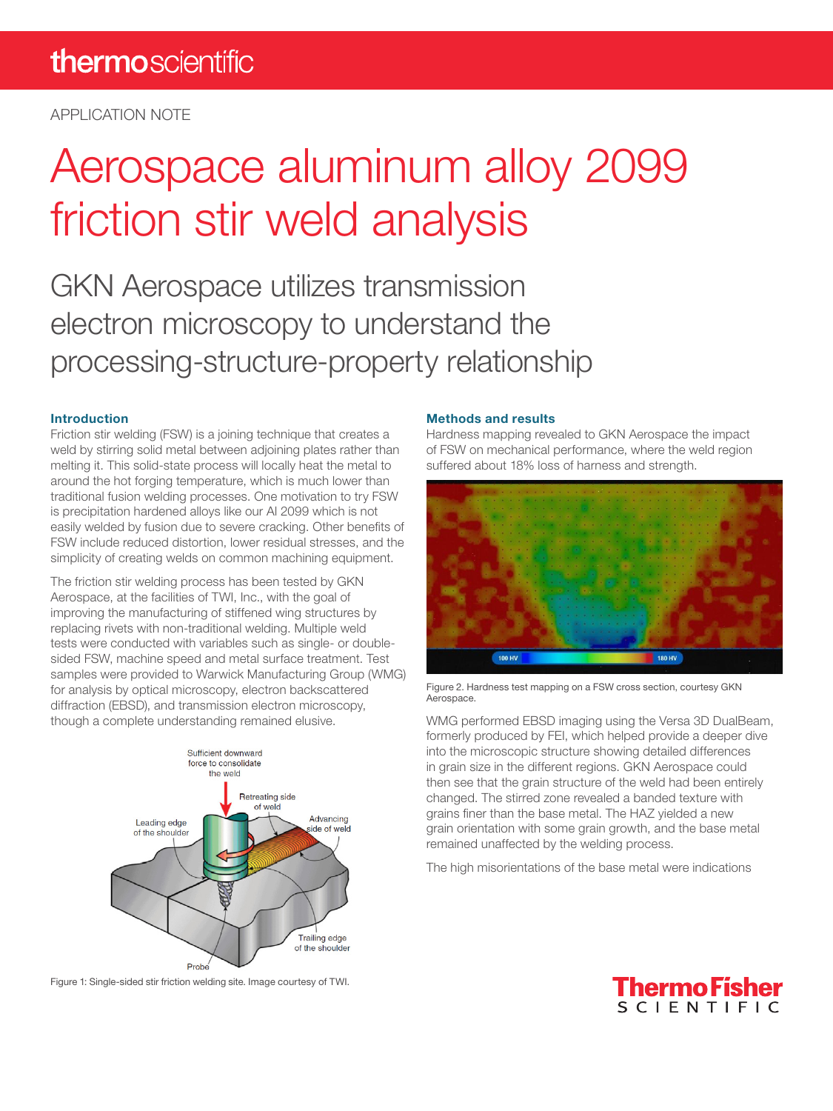APPLICATION NOTE

# Aerospace aluminum alloy 2099 friction stir weld analysis

GKN Aerospace utilizes transmission electron microscopy to understand the processing-structure-property relationship

### Introduction

Friction stir welding (FSW) is a joining technique that creates a weld by stirring solid metal between adjoining plates rather than melting it. This solid-state process will locally heat the metal to around the hot forging temperature, which is much lower than traditional fusion welding processes. One motivation to try FSW is precipitation hardened alloys like our Al 2099 which is not easily welded by fusion due to severe cracking. Other benefits of FSW include reduced distortion, lower residual stresses, and the simplicity of creating welds on common machining equipment.

The friction stir welding process has been tested by GKN Aerospace, at the facilities of TWI, Inc., with the goal of improving the manufacturing of stiffened wing structures by replacing rivets with non-traditional welding. Multiple weld tests were conducted with variables such as single- or doublesided FSW, machine speed and metal surface treatment. Test samples were provided to Warwick Manufacturing Group (WMG) for analysis by optical microscopy, electron backscattered diffraction (EBSD), and transmission electron microscopy, though a complete understanding remained elusive.



Figure 1: Single-sided stir friction welding site. Image courtesy of TWI.

### Methods and results

Hardness mapping revealed to GKN Aerospace the impact of FSW on mechanical performance, where the weld region suffered about 18% loss of harness and strength.



Figure 2. Hardness test mapping on a FSW cross section, courtesy GKN Aerospace.

WMG performed EBSD imaging using the Versa 3D DualBeam, formerly produced by FEI, which helped provide a deeper dive into the microscopic structure showing detailed differences in grain size in the different regions. GKN Aerospace could then see that the grain structure of the weld had been entirely changed. The stirred zone revealed a banded texture with grains finer than the base metal. The HAZ yielded a new grain orientation with some grain growth, and the base metal remained unaffected by the welding process.

The high misorientations of the base metal were indications